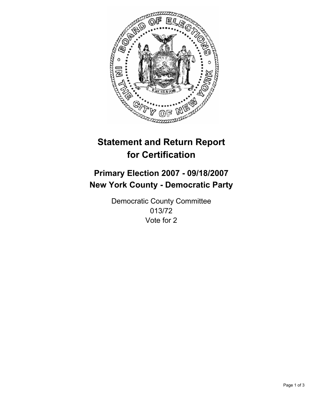

# **Statement and Return Report for Certification**

## **Primary Election 2007 - 09/18/2007 New York County - Democratic Party**

Democratic County Committee 013/72 Vote for 2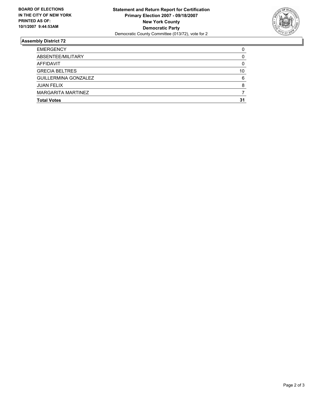

### **Assembly District 72**

| <b>EMERGENCY</b>            |    |
|-----------------------------|----|
| ABSENTEE/MILITARY           |    |
| AFFIDAVIT                   |    |
| <b>GRECIA BELTRES</b>       | 10 |
| <b>GUILLERMINA GONZALEZ</b> |    |
| <b>JUAN FELIX</b>           |    |
| MARGARITA MARTINEZ          |    |
| <b>Total Votes</b>          | 31 |